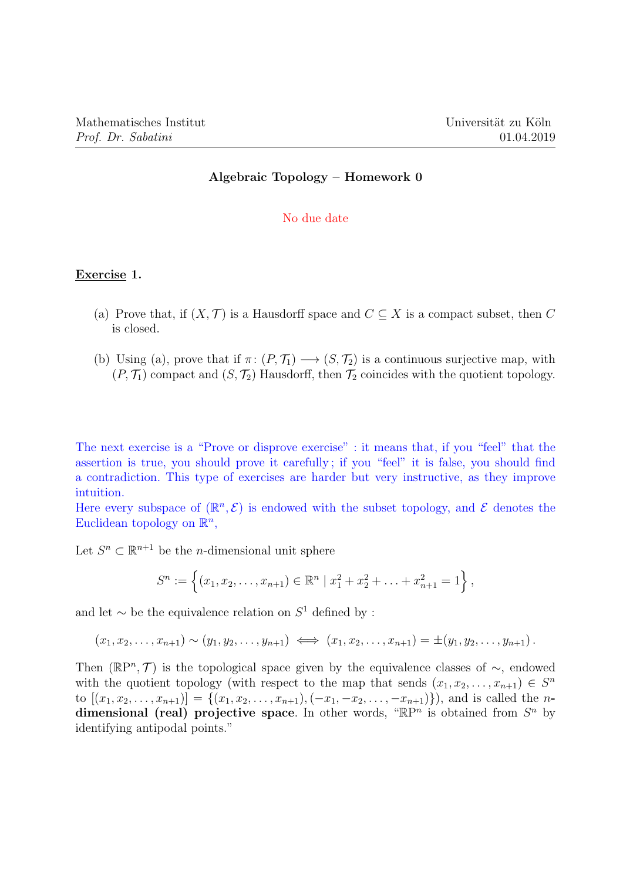## Algebraic Topology – Homework 0

#### No due date

### Exercise 1.

- (a) Prove that, if  $(X, \mathcal{T})$  is a Hausdorff space and  $C \subseteq X$  is a compact subset, then C is closed.
- (b) Using (a), prove that if  $\pi: (P, \mathcal{T}_1) \longrightarrow (S, \mathcal{T}_2)$  is a continuous surjective map, with  $(P, \mathcal{T}_1)$  compact and  $(S, \mathcal{T}_2)$  Hausdorff, then  $\mathcal{T}_2$  coincides with the quotient topology.

The next exercise is a "Prove or disprove exercise" : it means that, if you "feel" that the assertion is true, you should prove it carefully ; if you "feel" it is false, you should find a contradiction. This type of exercises are harder but very instructive, as they improve intuition.

Here every subspace of  $(\mathbb{R}^n, \mathcal{E})$  is endowed with the subset topology, and  $\mathcal{E}$  denotes the Euclidean topology on  $\mathbb{R}^n$ ,

Let  $S^n \subset \mathbb{R}^{n+1}$  be the *n*-dimensional unit sphere

$$
S^n := \left\{ (x_1, x_2, \dots, x_{n+1}) \in \mathbb{R}^n \mid x_1^2 + x_2^2 + \dots + x_{n+1}^2 = 1 \right\},\
$$

and let  $\sim$  be the equivalence relation on  $S^1$  defined by :

$$
(x_1, x_2, \ldots, x_{n+1}) \sim (y_1, y_2, \ldots, y_{n+1}) \iff (x_1, x_2, \ldots, x_{n+1}) = \pm (y_1, y_2, \ldots, y_{n+1}).
$$

Then  $(\mathbb{R}P^n, \mathcal{T})$  is the topological space given by the equivalence classes of  $\sim$ , endowed with the quotient topology (with respect to the map that sends  $(x_1, x_2, \ldots, x_{n+1}) \in S^n$ to  $[(x_1, x_2, \ldots, x_{n+1})] = \{(x_1, x_2, \ldots, x_{n+1}), (-x_1, -x_2, \ldots, -x_{n+1})\}$ , and is called the ndimensional (real) projective space. In other words, " $\mathbb{R}P^n$  is obtained from  $S^n$  by identifying antipodal points."